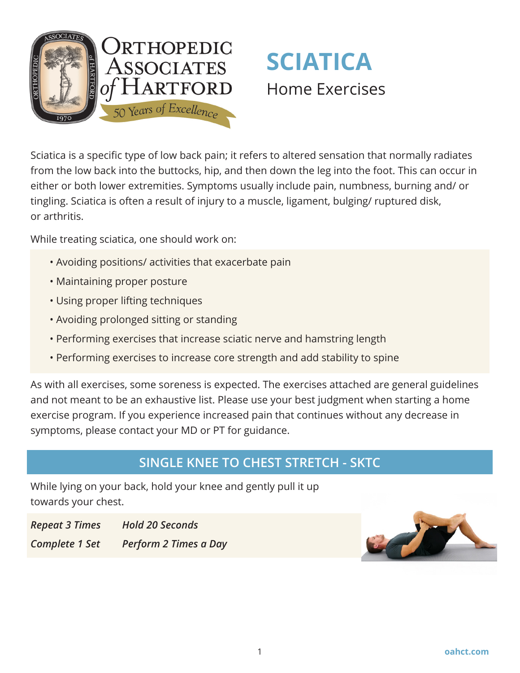



Sciatica is a specific type of low back pain; it refers to altered sensation that normally radiates from the low back into the buttocks, hip, and then down the leg into the foot. This can occur in either or both lower extremities. Symptoms usually include pain, numbness, burning and/ or tingling. Sciatica is often a result of injury to a muscle, ligament, bulging/ ruptured disk, or arthritis.

While treating sciatica, one should work on:

- Avoiding positions/ activities that exacerbate pain
- Maintaining proper posture
- Using proper lifting techniques
- Avoiding prolonged sitting or standing
- Performing exercises that increase sciatic nerve and hamstring length
- Performing exercises to increase core strength and add stability to spine

As with all exercises, some soreness is expected. The exercises attached are general guidelines and not meant to be an exhaustive list. Please use your best judgment when starting a home exercise program. If you experience increased pain that continues without any decrease in symptoms, please contact your MD or PT for guidance.

### **SINGLE KNEE TO CHEST STRETCH - SKTC**

While lying on your back, hold your knee and gently pull it up towards your chest.

*Repeat 3 Times Hold 20 Seconds Complete 1 Set Perform 2 Times a Day*

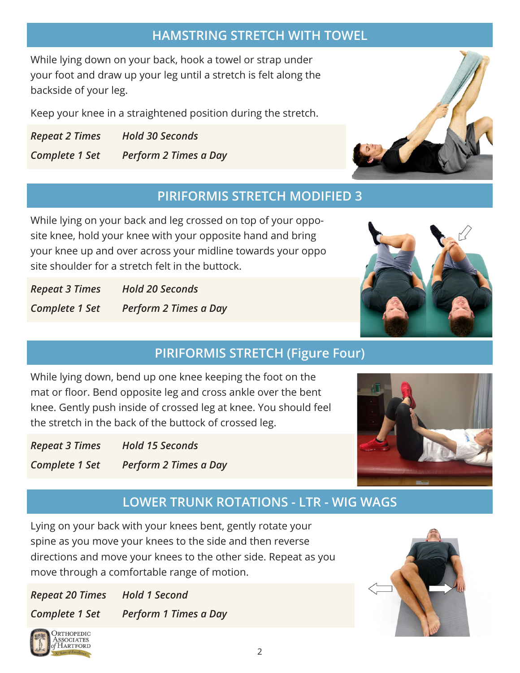## **HAMSTRING STRETCH WITH TOWEL**

While lying down on your back, hook a towel or strap under your foot and draw up your leg until a stretch is felt along the backside of your leg.

Keep your knee in a straightened position during the stretch.

*Repeat 2 Times Hold 30 Seconds Complete 1 Set Perform 2 Times a Day*

# **PIRIFORMIS STRETCH MODIFIED 3**

While lying on your back and leg crossed on top of your opposite knee, hold your knee with your opposite hand and bring your knee up and over across your midline towards your oppo site shoulder for a stretch felt in the buttock.

*Repeat 3 Times Hold 20 Seconds Complete 1 Set Perform 2 Times a Day*



While lying down, bend up one knee keeping the foot on the mat or floor. Bend opposite leg and cross ankle over the bent knee. Gently push inside of crossed leg at knee. You should feel the stretch in the back of the buttock of crossed leg.

*Repeat 3 Times Hold 15 Seconds Complete 1 Set Perform 2 Times a Day*

## **LOWER TRUNK ROTATIONS - LTR - WIG WAGS**

Lying on your back with your knees bent, gently rotate your spine as you move your knees to the side and then reverse directions and move your knees to the other side. Repeat as you move through a comfortable range of motion.

*Repeat 20 Times Hold 1 Second Complete 1 Set Perform 1 Times a Day*